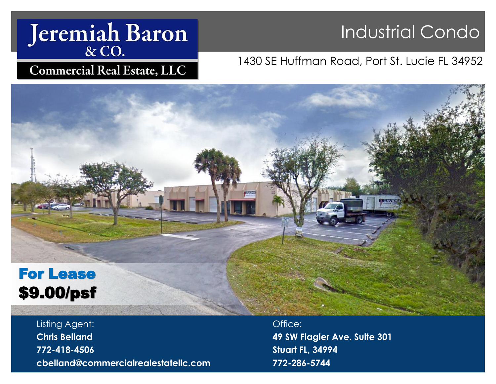# Jeremiah Baron

## Industrial Condo

### 1430 SE Huffman Road, Port St. Lucie FL 34952



Listing Agent: **Chris Belland 772-418-4506 cbelland@commercialrealestatellc.com**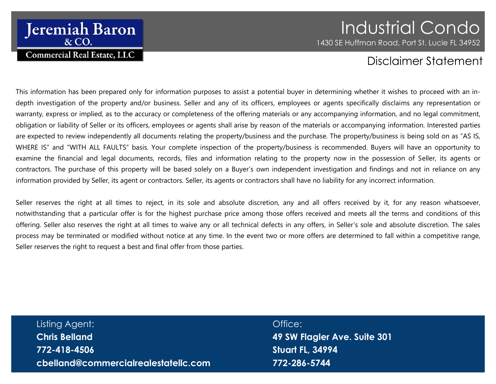### **Jeremiah Baron & CO. Commercial Real Estate, LLC**

### Industrial Condo 1430 SE Huffman Road, Port St. Lucie FL 34952

### Disclaimer Statement

This information has been prepared only for information purposes to assist a potential buyer in determining whether it wishes to proceed with an indepth investigation of the property and/or business. Seller and any of its officers, employees or agents specifically disclaims any representation or warranty, express or implied, as to the accuracy or completeness of the offering materials or any accompanying information, and no legal commitment, obligation or liability of Seller or its officers, employees or agents shall arise by reason of the materials or accompanying information. Interested parties are expected to review independently all documents relating the property/business and the purchase. The property/business is being sold on as "AS IS, WHERE IS" and "WITH ALL FAULTS" basis. Your complete inspection of the property/business is recommended. Buyers will have an opportunity to examine the financial and legal documents, records, files and information relating to the property now in the possession of Seller, its agents or contractors. The purchase of this property will be based solely on a Buyer's own independent investigation and findings and not in reliance on any information provided by Seller, its agent or contractors. Seller, its agents or contractors shall have no liability for any incorrect information.

Seller reserves the right at all times to reject, in its sole and absolute discretion, any and all offers received by it, for any reason whatsoever, notwithstanding that a particular offer is for the highest purchase price among those offers received and meets all the terms and conditions of this offering. Seller also reserves the right at all times to waive any or all technical defects in any offers, in Seller's sole and absolute discretion. The sales process may be terminated or modified without notice at any time. In the event two or more offers are determined to fall within a competitive range, Seller reserves the right to request a best and final offer from those parties.

Listing Agent: **Chris Belland 772-418-4506 cbelland@commercialrealestatellc.com**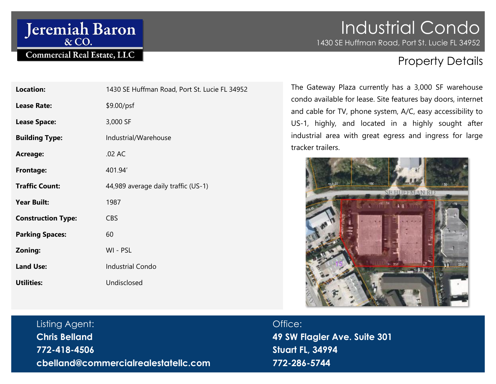# Jeremiah Baron

#### **Commercial Real Estate, LLC**

# Industrial Condo

1430 SE Huffman Road, Port St. Lucie FL 34952

### Property Details

| <b>Location:</b>          | 1430 SE Huffman Road, Port St. Lucie FL 34952 |
|---------------------------|-----------------------------------------------|
| <b>Lease Rate:</b>        | \$9.00/psf                                    |
| <b>Lease Space:</b>       | 3,000 SF                                      |
| <b>Building Type:</b>     | Industrial/Warehouse                          |
| <b>Acreage:</b>           | .02 AC                                        |
| <b>Frontage:</b>          | 401.94                                        |
| <b>Traffic Count:</b>     | 44,989 average daily traffic (US-1)           |
| <b>Year Built:</b>        | 1987                                          |
| <b>Construction Type:</b> | <b>CBS</b>                                    |
| <b>Parking Spaces:</b>    | 60                                            |
| Zoning:                   | WI - PSL                                      |
| <b>Land Use:</b>          | <b>Industrial Condo</b>                       |
| <b>Utilities:</b>         | Undisclosed                                   |
|                           |                                               |

The Gateway Plaza currently has a 3,000 SF warehouse condo available for lease. Site features bay doors, internet and cable for TV, phone system, A/C, easy accessibility to US-1, highly, and located in a highly sought after industrial area with great egress and ingress for large tracker trailers.



Listing Agent: **Chris Belland 772-418-4506 cbelland@commercialrealestatellc.com**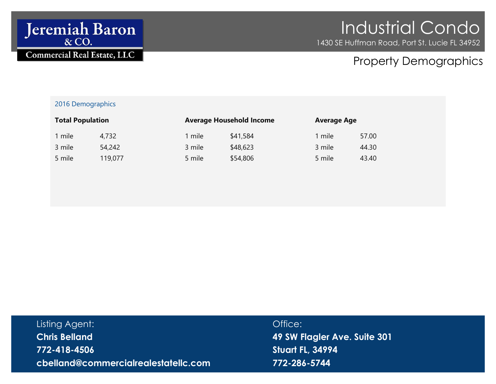

# Industrial Condo

1430 SE Huffman Road, Port St. Lucie FL 34952

### Property Demographics

#### 2016 Demographics

| <b>Total Population</b> |         | <b>Average Household Income</b> |          | <b>Average Age</b> |       |
|-------------------------|---------|---------------------------------|----------|--------------------|-------|
| mile                    | 4,732   | mile                            | \$41,584 | 1 mile             | 57.00 |
| 3 mile                  | 54,242  | 3 mile                          | \$48,623 | 3 mile             | 44.30 |
| 5 mile                  | 119,077 | 5 mile                          | \$54,806 | 5 mile             | 43.40 |

| Listing Agent:                       |  |
|--------------------------------------|--|
| <b>Chris Belland</b>                 |  |
| 772-418-4506                         |  |
| cbelland@commercialrealestatellc.com |  |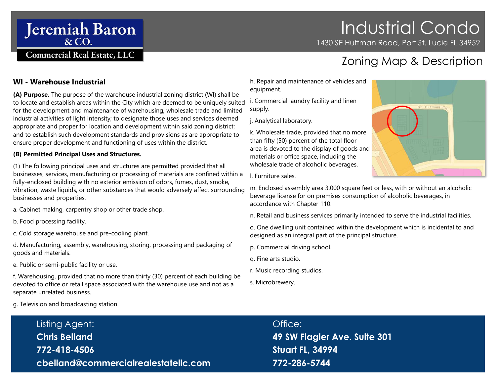# Industrial Condo

1430 SE Huffman Road, Port St. Lucie FL 34952

### Zoning Map & Description

#### **WI - Warehouse Industrial**

**(A) Purpose.** The purpose of the warehouse industrial zoning district (WI) shall be to locate and establish areas within the City which are deemed to be uniquely suited for the development and maintenance of warehousing, wholesale trade and limited industrial activities of light intensity; to designate those uses and services deemed appropriate and proper for location and development within said zoning district; and to establish such development standards and provisions as are appropriate to ensure proper development and functioning of uses within the district.

#### **(B) Permitted Principal Uses and Structures.**

**Jeremiah Baron** & CO.

**Commercial Real Estate, LLC** 

(1) The following principal uses and structures are permitted provided that all businesses, services, manufacturing or processing of materials are confined within a fully-enclosed building with no exterior emission of odors, fumes, dust, smoke, vibration, waste liquids, or other substances that would adversely affect surrounding businesses and properties.

- a. Cabinet making, carpentry shop or other trade shop.
- b. Food processing facility.
- c. Cold storage warehouse and pre-cooling plant.

d. Manufacturing, assembly, warehousing, storing, processing and packaging of goods and materials.

e. Public or semi-public facility or use.

f. Warehousing, provided that no more than thirty (30) percent of each building be devoted to office or retail space associated with the warehouse use and not as a separate unrelated business.

g. Television and broadcasting station.

h. Repair and maintenance of vehicles and equipment.

i. Commercial laundry facility and linen supply.

j. Analytical laboratory.

k. Wholesale trade, provided that no more than fifty (50) percent of the total floor area is devoted to the display of goods and materials or office space, including the wholesale trade of alcoholic beverages.



l. Furniture sales.

m. Enclosed assembly area 3,000 square feet or less, with or without an alcoholic beverage license for on premises consumption of alcoholic beverages, in accordance with Chapter 110.

n. Retail and business services primarily intended to serve the industrial facilities.

o. One dwelling unit contained within the development which is incidental to and designed as an integral part of the principal structure.

p. Commercial driving school.

- q. Fine arts studio.
- r. Music recording studios.
- s. Microbrewery.

Listing Agent: **Chris Belland 772-418-4506 cbelland@commercialrealestatellc.com**